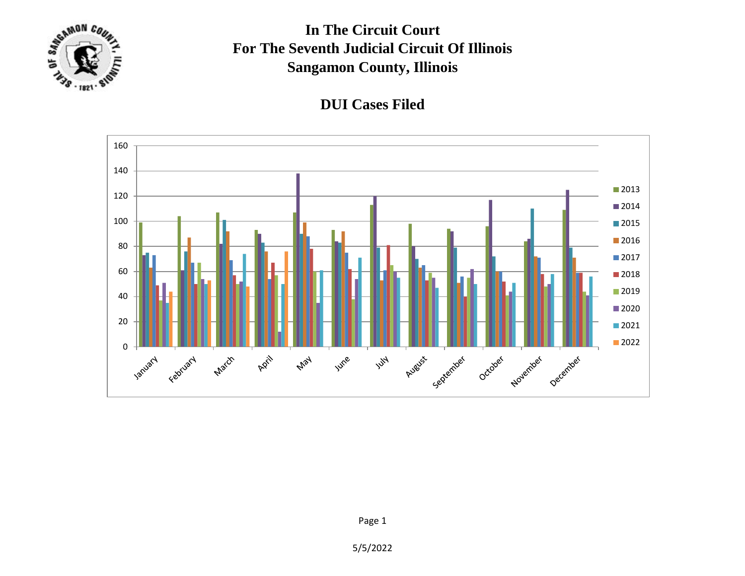

## **In The Circuit Court For The Seventh Judicial Circuit Of Illinois Sangamon County, Illinois**





5/5/2022